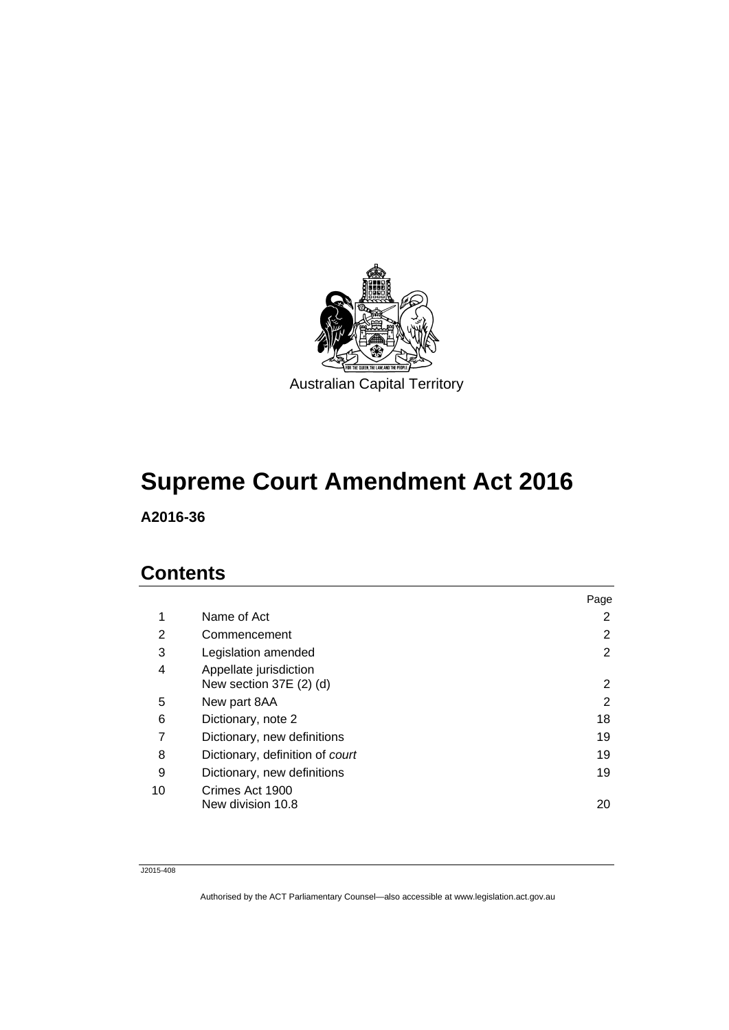

## **Supreme Court Amendment Act 2016**

**A2016-36** 

## **Contents**

|    |                                                   | Page |
|----|---------------------------------------------------|------|
| 1  | Name of Act                                       | 2    |
| 2  | Commencement                                      | 2    |
| 3  | Legislation amended                               | 2    |
| 4  | Appellate jurisdiction<br>New section 37E (2) (d) | 2    |
| 5  | New part 8AA                                      | 2    |
| 6  | Dictionary, note 2                                | 18   |
| 7  | Dictionary, new definitions                       | 19   |
| 8  | Dictionary, definition of court                   | 19   |
| 9  | Dictionary, new definitions                       | 19   |
| 10 | Crimes Act 1900<br>New division 10.8              | 20   |

J2015-408

Authorised by the ACT Parliamentary Counsel—also accessible at www.legislation.act.gov.au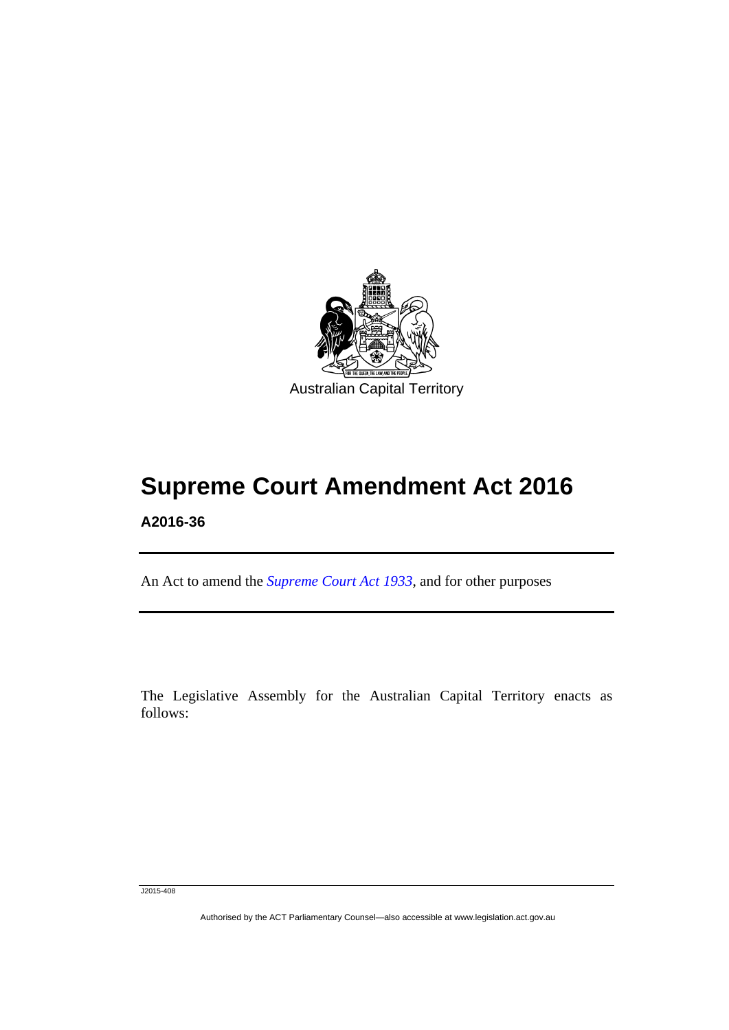

# **Supreme Court Amendment Act 2016**

#### **A2016-36**

l

An Act to amend the *[Supreme Court Act 1933](http://www.legislation.act.gov.au/a/1933-34)*, and for other purposes

The Legislative Assembly for the Australian Capital Territory enacts as follows:

J2015-408

Authorised by the ACT Parliamentary Counsel—also accessible at www.legislation.act.gov.au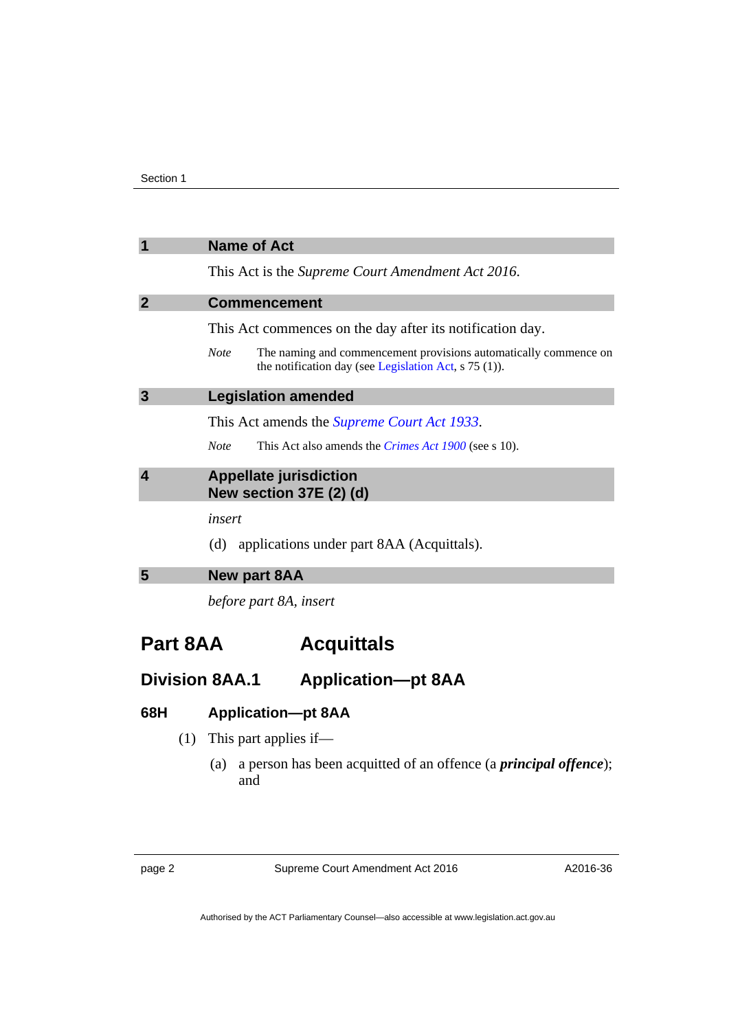<span id="page-3-2"></span><span id="page-3-1"></span><span id="page-3-0"></span>

| $\overline{\mathbf{1}}$              | <b>Name of Act</b>                                                                                                                       |  |
|--------------------------------------|------------------------------------------------------------------------------------------------------------------------------------------|--|
|                                      | This Act is the Supreme Court Amendment Act 2016.                                                                                        |  |
| $\overline{2}$                       | <b>Commencement</b>                                                                                                                      |  |
|                                      | This Act commences on the day after its notification day.                                                                                |  |
|                                      | The naming and commencement provisions automatically commence on<br><b>Note</b><br>the notification day (see Legislation Act, s 75 (1)). |  |
| 3                                    | <b>Legislation amended</b>                                                                                                               |  |
|                                      | This Act amends the <i>Supreme Court Act 1933</i> .                                                                                      |  |
|                                      | <b>Note</b><br>This Act also amends the <i>Crimes Act 1900</i> (see s 10).                                                               |  |
| $\overline{\mathbf{4}}$              | <b>Appellate jurisdiction</b><br>New section 37E (2) (d)                                                                                 |  |
|                                      | insert                                                                                                                                   |  |
|                                      | applications under part 8AA (Acquittals).<br>(d)                                                                                         |  |
| 5                                    | <b>New part 8AA</b>                                                                                                                      |  |
|                                      | before part 8A, insert                                                                                                                   |  |
| <b>Part 8AA</b><br><b>Acquittals</b> |                                                                                                                                          |  |

## <span id="page-3-4"></span><span id="page-3-3"></span>**Division 8AA.1 Application—pt 8AA**

#### **68H Application—pt 8AA**

- (1) This part applies if—
	- (a) a person has been acquitted of an offence (a *principal offence*); and

page 2 Supreme Court Amendment Act 2016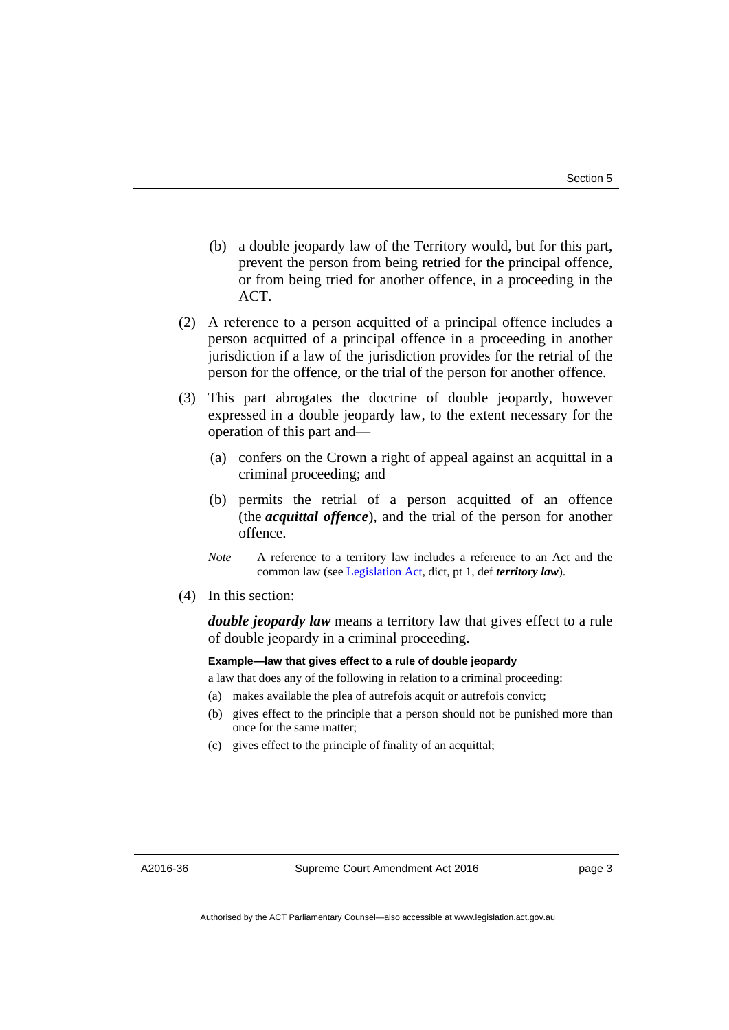- (b) a double jeopardy law of the Territory would, but for this part, prevent the person from being retried for the principal offence, or from being tried for another offence, in a proceeding in the ACT.
- (2) A reference to a person acquitted of a principal offence includes a person acquitted of a principal offence in a proceeding in another jurisdiction if a law of the jurisdiction provides for the retrial of the person for the offence, or the trial of the person for another offence.
- (3) This part abrogates the doctrine of double jeopardy, however expressed in a double jeopardy law, to the extent necessary for the operation of this part and—
	- (a) confers on the Crown a right of appeal against an acquittal in a criminal proceeding; and
	- (b) permits the retrial of a person acquitted of an offence (the *acquittal offence*), and the trial of the person for another offence.
	- *Note* A reference to a territory law includes a reference to an Act and the common law (see [Legislation Act,](http://www.legislation.act.gov.au/a/2001-14) dict, pt 1, def *territory law*).
- (4) In this section:

*double jeopardy law* means a territory law that gives effect to a rule of double jeopardy in a criminal proceeding.

#### **Example—law that gives effect to a rule of double jeopardy**

a law that does any of the following in relation to a criminal proceeding:

- (a) makes available the plea of autrefois acquit or autrefois convict;
- (b) gives effect to the principle that a person should not be punished more than once for the same matter;
- (c) gives effect to the principle of finality of an acquittal;

A2016-36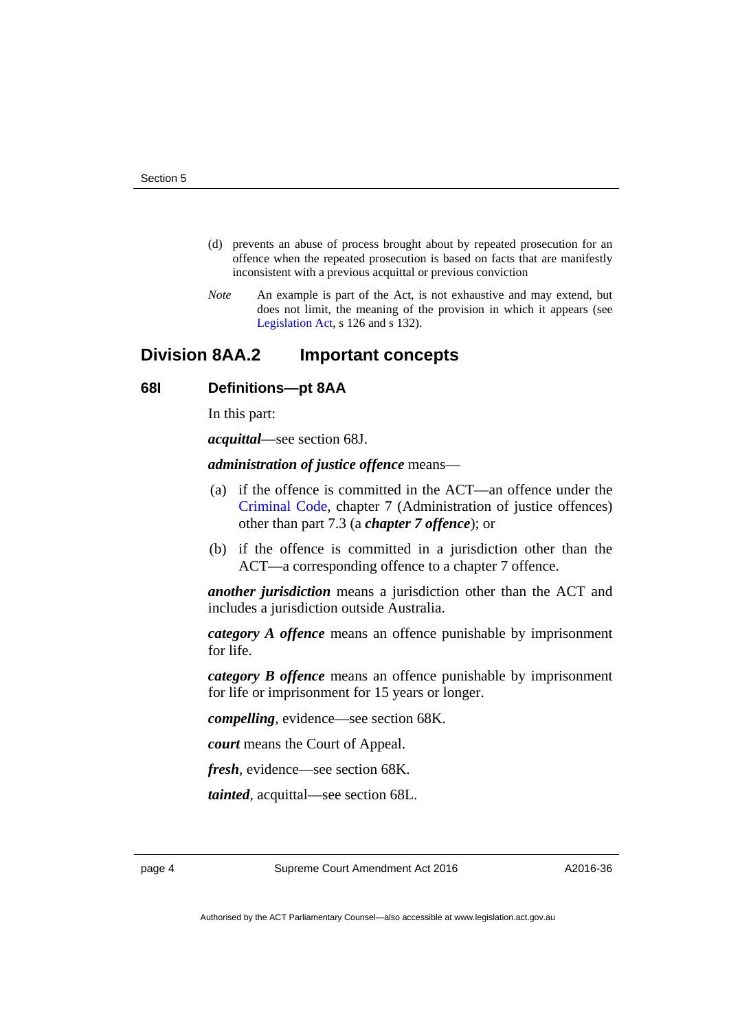- (d) prevents an abuse of process brought about by repeated prosecution for an offence when the repeated prosecution is based on facts that are manifestly inconsistent with a previous acquittal or previous conviction
- *Note* An example is part of the Act, is not exhaustive and may extend, but does not limit, the meaning of the provision in which it appears (see [Legislation Act,](http://www.legislation.act.gov.au/a/2001-14) s 126 and s 132).

#### **Division 8AA.2 Important concepts**

#### **68I Definitions—pt 8AA**

In this part:

*acquittal*—see section 68J.

*administration of justice offence* means—

- (a) if the offence is committed in the ACT—an offence under the [Criminal Code](http://www.legislation.act.gov.au/a/2002-51), chapter 7 (Administration of justice offences) other than part 7.3 (a *chapter 7 offence*); or
- (b) if the offence is committed in a jurisdiction other than the ACT—a corresponding offence to a chapter 7 offence.

*another jurisdiction* means a jurisdiction other than the ACT and includes a jurisdiction outside Australia.

*category A offence* means an offence punishable by imprisonment for life.

*category B offence* means an offence punishable by imprisonment for life or imprisonment for 15 years or longer.

*compelling*, evidence—see section 68K.

*court* means the Court of Appeal.

*fresh*, evidence—see section 68K.

*tainted*, acquittal—see section 68L.

page 4 Supreme Court Amendment Act 2016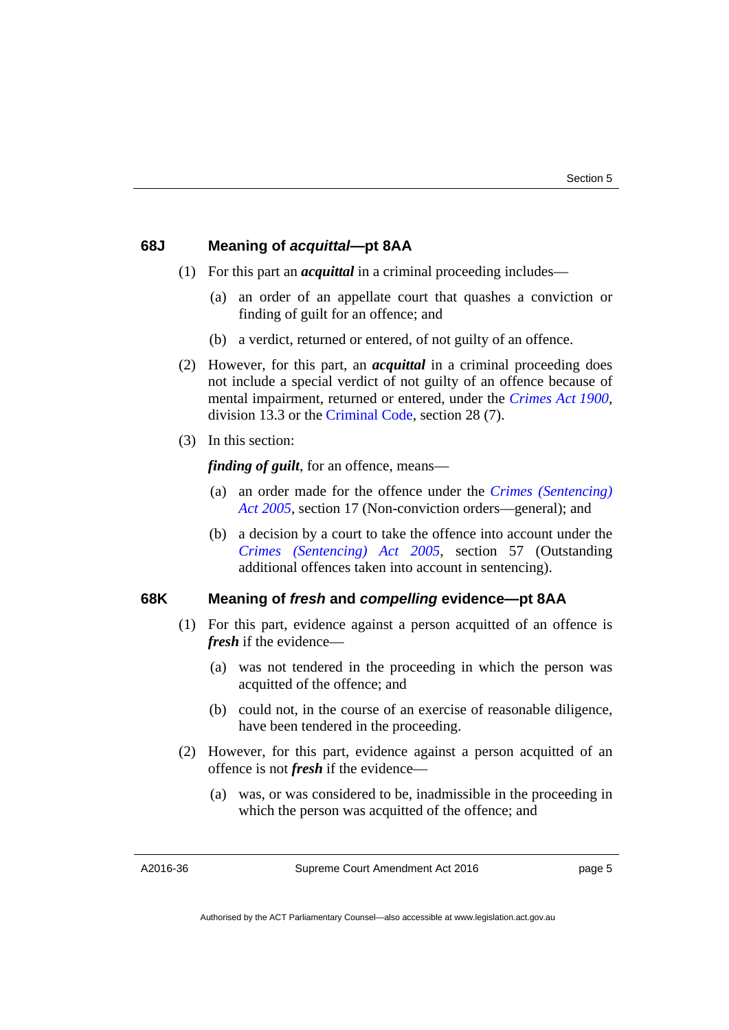#### **68J Meaning of** *acquittal***—pt 8AA**

- (1) For this part an *acquittal* in a criminal proceeding includes—
	- (a) an order of an appellate court that quashes a conviction or finding of guilt for an offence; and
	- (b) a verdict, returned or entered, of not guilty of an offence.
- (2) However, for this part, an *acquittal* in a criminal proceeding does not include a special verdict of not guilty of an offence because of mental impairment, returned or entered, under the *[Crimes Act 1900](http://www.legislation.act.gov.au/a/1900-40)*, division 13.3 or the [Criminal Code](http://www.legislation.act.gov.au/a/2002-51), section 28 (7).
- (3) In this section:

*finding of guilt*, for an offence, means—

- (a) an order made for the offence under the *[Crimes \(Sentencing\)](http://www.legislation.act.gov.au/a/2005-58)  [Act 2005](http://www.legislation.act.gov.au/a/2005-58)*, section 17 (Non-conviction orders—general); and
- (b) a decision by a court to take the offence into account under the *[Crimes \(Sentencing\) Act 2005](http://www.legislation.act.gov.au/a/2005-58)*, section 57 (Outstanding additional offences taken into account in sentencing).

#### **68K Meaning of** *fresh* **and** *compelling* **evidence—pt 8AA**

- (1) For this part, evidence against a person acquitted of an offence is *fresh* if the evidence—
	- (a) was not tendered in the proceeding in which the person was acquitted of the offence; and
	- (b) could not, in the course of an exercise of reasonable diligence, have been tendered in the proceeding.
- (2) However, for this part, evidence against a person acquitted of an offence is not *fresh* if the evidence—
	- (a) was, or was considered to be, inadmissible in the proceeding in which the person was acquitted of the offence; and

A2016-36

Supreme Court Amendment Act 2016

page 5

Authorised by the ACT Parliamentary Counsel—also accessible at www.legislation.act.gov.au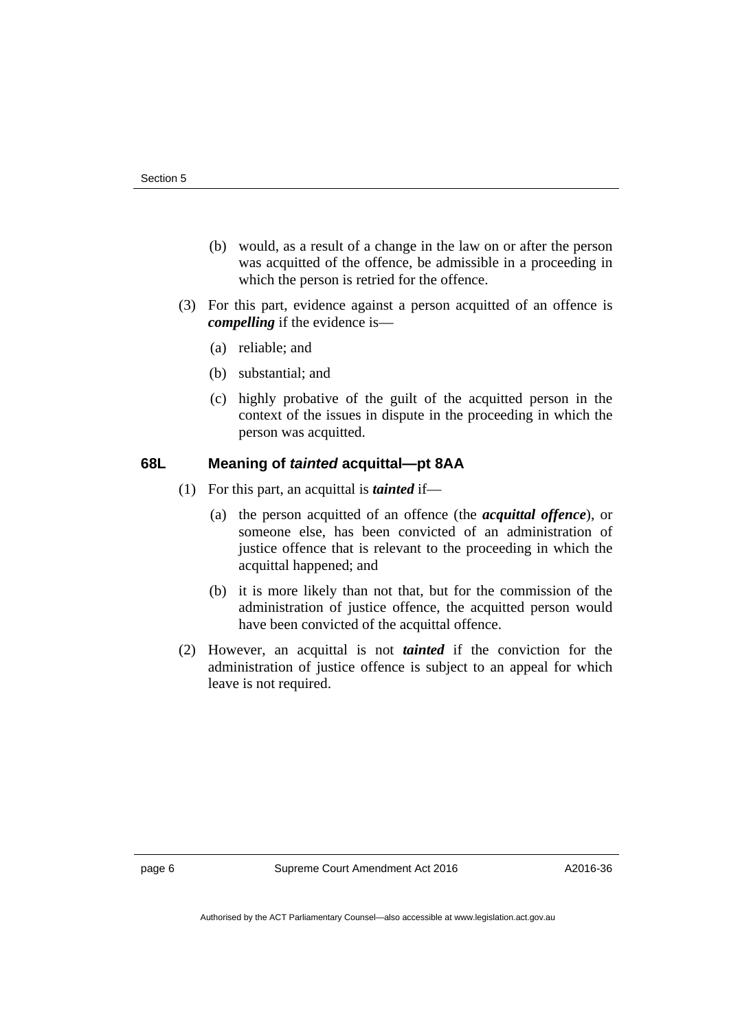- (b) would, as a result of a change in the law on or after the person was acquitted of the offence, be admissible in a proceeding in which the person is retried for the offence.
- (3) For this part, evidence against a person acquitted of an offence is *compelling* if the evidence is—
	- (a) reliable; and
	- (b) substantial; and
	- (c) highly probative of the guilt of the acquitted person in the context of the issues in dispute in the proceeding in which the person was acquitted.

#### **68L Meaning of** *tainted* **acquittal—pt 8AA**

- (1) For this part, an acquittal is *tainted* if—
	- (a) the person acquitted of an offence (the *acquittal offence*), or someone else, has been convicted of an administration of justice offence that is relevant to the proceeding in which the acquittal happened; and
	- (b) it is more likely than not that, but for the commission of the administration of justice offence, the acquitted person would have been convicted of the acquittal offence.
- (2) However, an acquittal is not *tainted* if the conviction for the administration of justice offence is subject to an appeal for which leave is not required.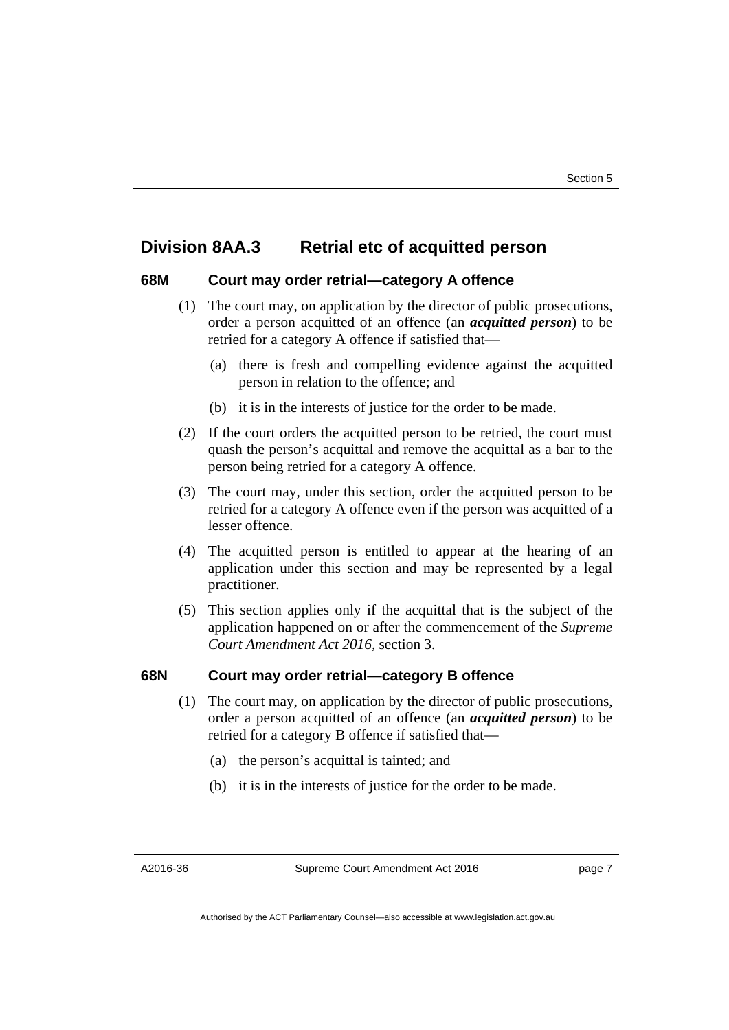#### **Division 8AA.3 Retrial etc of acquitted person**

#### **68M Court may order retrial—category A offence**

- (1) The court may, on application by the director of public prosecutions, order a person acquitted of an offence (an *acquitted person*) to be retried for a category A offence if satisfied that—
	- (a) there is fresh and compelling evidence against the acquitted person in relation to the offence; and
	- (b) it is in the interests of justice for the order to be made.
- (2) If the court orders the acquitted person to be retried, the court must quash the person's acquittal and remove the acquittal as a bar to the person being retried for a category A offence.
- (3) The court may, under this section, order the acquitted person to be retried for a category A offence even if the person was acquitted of a lesser offence.
- (4) The acquitted person is entitled to appear at the hearing of an application under this section and may be represented by a legal practitioner.
- (5) This section applies only if the acquittal that is the subject of the application happened on or after the commencement of the *Supreme Court Amendment Act 2016,* section 3.

#### **68N Court may order retrial—category B offence**

- (1) The court may, on application by the director of public prosecutions, order a person acquitted of an offence (an *acquitted person*) to be retried for a category B offence if satisfied that—
	- (a) the person's acquittal is tainted; and
	- (b) it is in the interests of justice for the order to be made.

A2016-36

Supreme Court Amendment Act 2016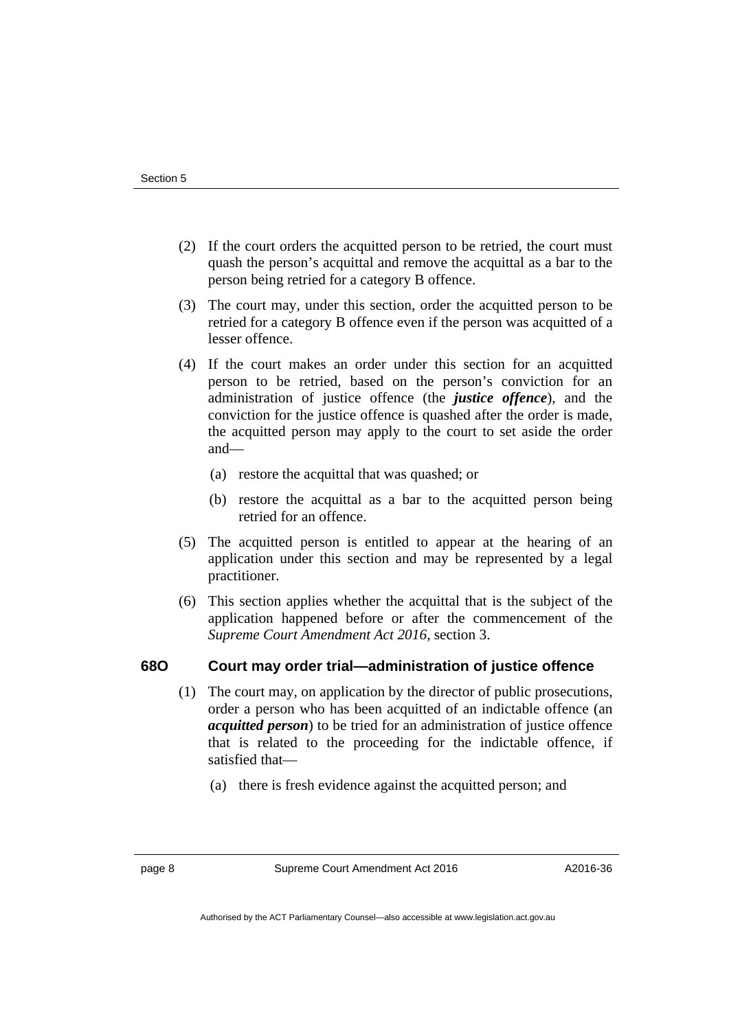- (2) If the court orders the acquitted person to be retried, the court must quash the person's acquittal and remove the acquittal as a bar to the person being retried for a category B offence.
- (3) The court may, under this section, order the acquitted person to be retried for a category B offence even if the person was acquitted of a lesser offence.
- (4) If the court makes an order under this section for an acquitted person to be retried, based on the person's conviction for an administration of justice offence (the *justice offence*), and the conviction for the justice offence is quashed after the order is made, the acquitted person may apply to the court to set aside the order and—
	- (a) restore the acquittal that was quashed; or
	- (b) restore the acquittal as a bar to the acquitted person being retried for an offence.
- (5) The acquitted person is entitled to appear at the hearing of an application under this section and may be represented by a legal practitioner.
- (6) This section applies whether the acquittal that is the subject of the application happened before or after the commencement of the *Supreme Court Amendment Act 2016,* section 3.

#### **68O Court may order trial—administration of justice offence**

- (1) The court may, on application by the director of public prosecutions, order a person who has been acquitted of an indictable offence (an *acquitted person*) to be tried for an administration of justice offence that is related to the proceeding for the indictable offence, if satisfied that—
	- (a) there is fresh evidence against the acquitted person; and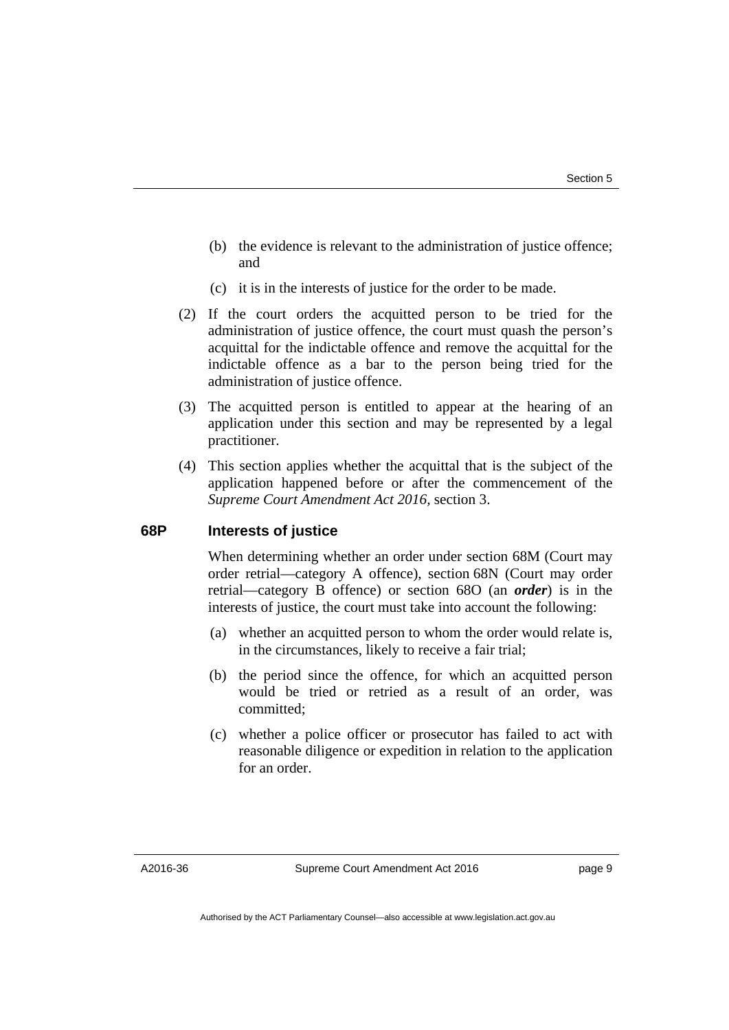- (b) the evidence is relevant to the administration of justice offence; and
- (c) it is in the interests of justice for the order to be made.
- (2) If the court orders the acquitted person to be tried for the administration of justice offence, the court must quash the person's acquittal for the indictable offence and remove the acquittal for the indictable offence as a bar to the person being tried for the administration of justice offence.
- (3) The acquitted person is entitled to appear at the hearing of an application under this section and may be represented by a legal practitioner.
- (4) This section applies whether the acquittal that is the subject of the application happened before or after the commencement of the *Supreme Court Amendment Act 2016,* section 3.

#### **68P Interests of justice**

When determining whether an order under section 68M (Court may order retrial—category A offence), section 68N (Court may order retrial—category B offence) or section 68O (an *order*) is in the interests of justice, the court must take into account the following:

- (a) whether an acquitted person to whom the order would relate is, in the circumstances, likely to receive a fair trial;
- (b) the period since the offence, for which an acquitted person would be tried or retried as a result of an order, was committed;
- (c) whether a police officer or prosecutor has failed to act with reasonable diligence or expedition in relation to the application for an order.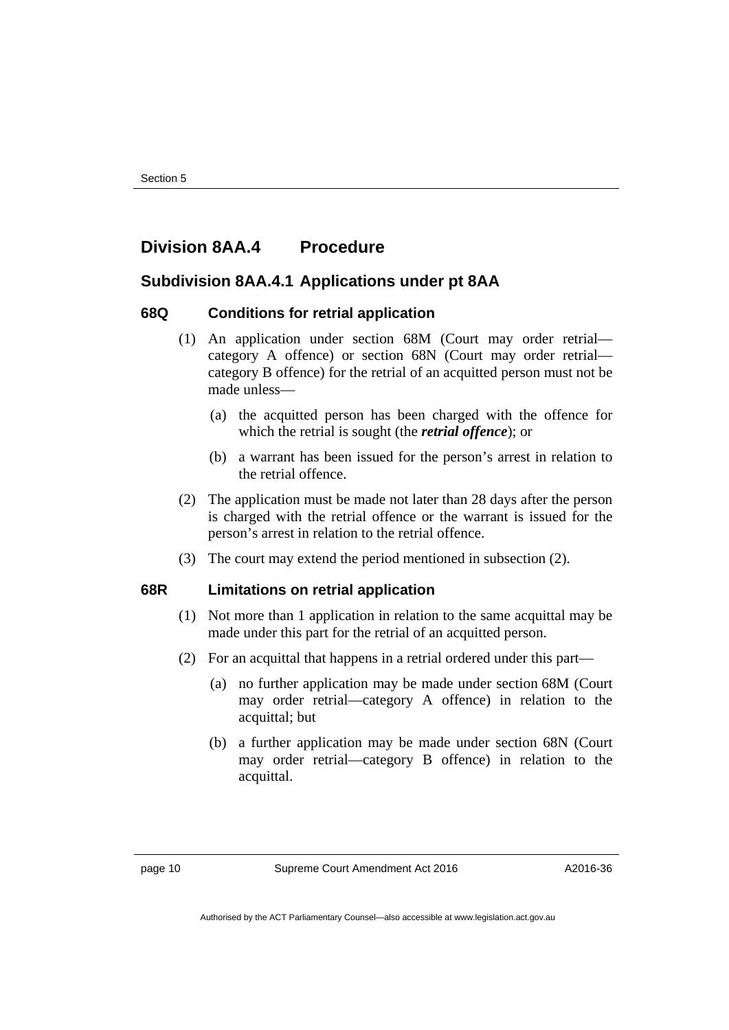### **Division 8AA.4 Procedure**

#### **Subdivision 8AA.4.1 Applications under pt 8AA**

#### **68Q Conditions for retrial application**

- (1) An application under section 68M (Court may order retrial category A offence) or section 68N (Court may order retrial category B offence) for the retrial of an acquitted person must not be made unless—
	- (a) the acquitted person has been charged with the offence for which the retrial is sought (the *retrial offence*); or
	- (b) a warrant has been issued for the person's arrest in relation to the retrial offence.
- (2) The application must be made not later than 28 days after the person is charged with the retrial offence or the warrant is issued for the person's arrest in relation to the retrial offence.
- (3) The court may extend the period mentioned in subsection (2).

#### **68R Limitations on retrial application**

- (1) Not more than 1 application in relation to the same acquittal may be made under this part for the retrial of an acquitted person.
- (2) For an acquittal that happens in a retrial ordered under this part—
	- (a) no further application may be made under section 68M (Court may order retrial—category A offence) in relation to the acquittal; but
	- (b) a further application may be made under section 68N (Court may order retrial—category B offence) in relation to the acquittal.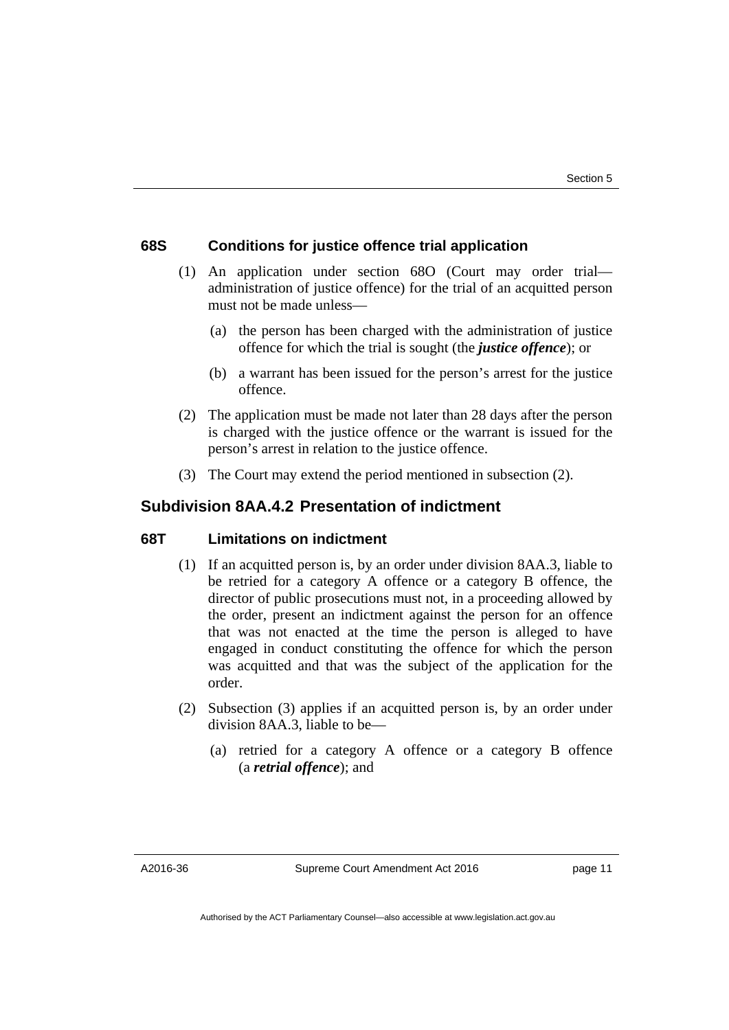#### **68S Conditions for justice offence trial application**

- (1) An application under section 68O (Court may order trial administration of justice offence) for the trial of an acquitted person must not be made unless—
	- (a) the person has been charged with the administration of justice offence for which the trial is sought (the *justice offence*); or
	- (b) a warrant has been issued for the person's arrest for the justice offence.
- (2) The application must be made not later than 28 days after the person is charged with the justice offence or the warrant is issued for the person's arrest in relation to the justice offence.
- (3) The Court may extend the period mentioned in subsection (2).

#### **Subdivision 8AA.4.2 Presentation of indictment**

#### **68T Limitations on indictment**

- (1) If an acquitted person is, by an order under division 8AA.3, liable to be retried for a category A offence or a category B offence, the director of public prosecutions must not, in a proceeding allowed by the order, present an indictment against the person for an offence that was not enacted at the time the person is alleged to have engaged in conduct constituting the offence for which the person was acquitted and that was the subject of the application for the order.
- (2) Subsection (3) applies if an acquitted person is, by an order under division 8AA.3, liable to be—
	- (a) retried for a category A offence or a category B offence (a *retrial offence*); and

A2016-36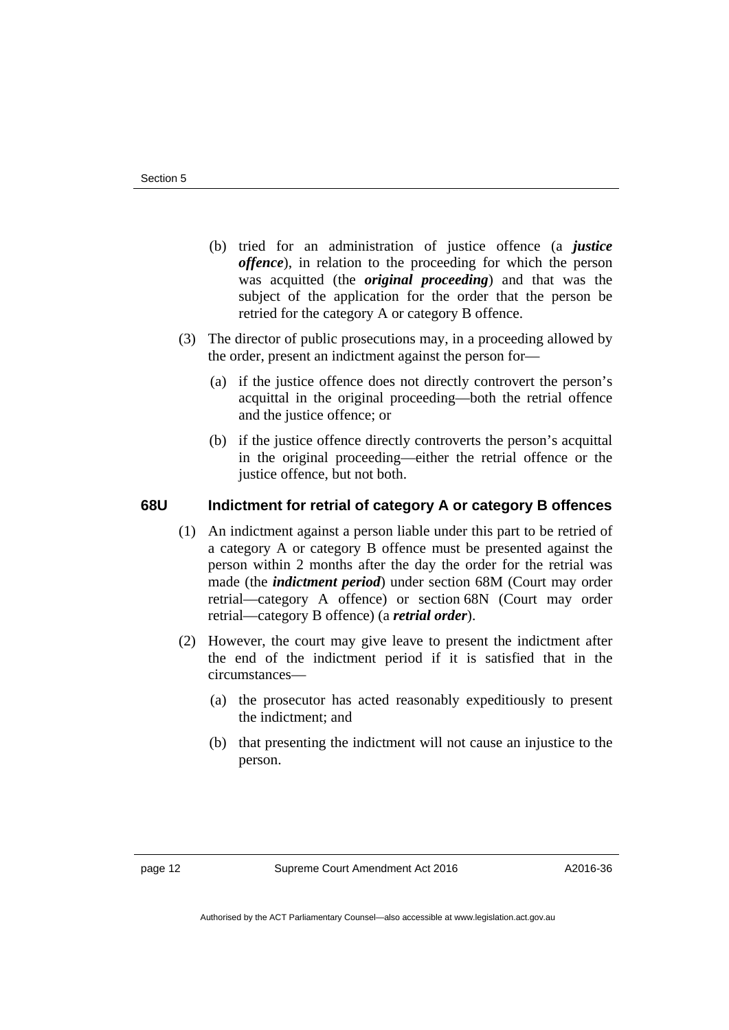- (b) tried for an administration of justice offence (a *justice offence*), in relation to the proceeding for which the person was acquitted (the *original proceeding*) and that was the subject of the application for the order that the person be retried for the category A or category B offence.
- (3) The director of public prosecutions may, in a proceeding allowed by the order, present an indictment against the person for—
	- (a) if the justice offence does not directly controvert the person's acquittal in the original proceeding—both the retrial offence and the justice offence; or
	- (b) if the justice offence directly controverts the person's acquittal in the original proceeding—either the retrial offence or the justice offence, but not both.

#### **68U Indictment for retrial of category A or category B offences**

- (1) An indictment against a person liable under this part to be retried of a category A or category B offence must be presented against the person within 2 months after the day the order for the retrial was made (the *indictment period*) under section 68M (Court may order retrial—category A offence) or section 68N (Court may order retrial—category B offence) (a *retrial order*).
- (2) However, the court may give leave to present the indictment after the end of the indictment period if it is satisfied that in the circumstances—
	- (a) the prosecutor has acted reasonably expeditiously to present the indictment; and
	- (b) that presenting the indictment will not cause an injustice to the person.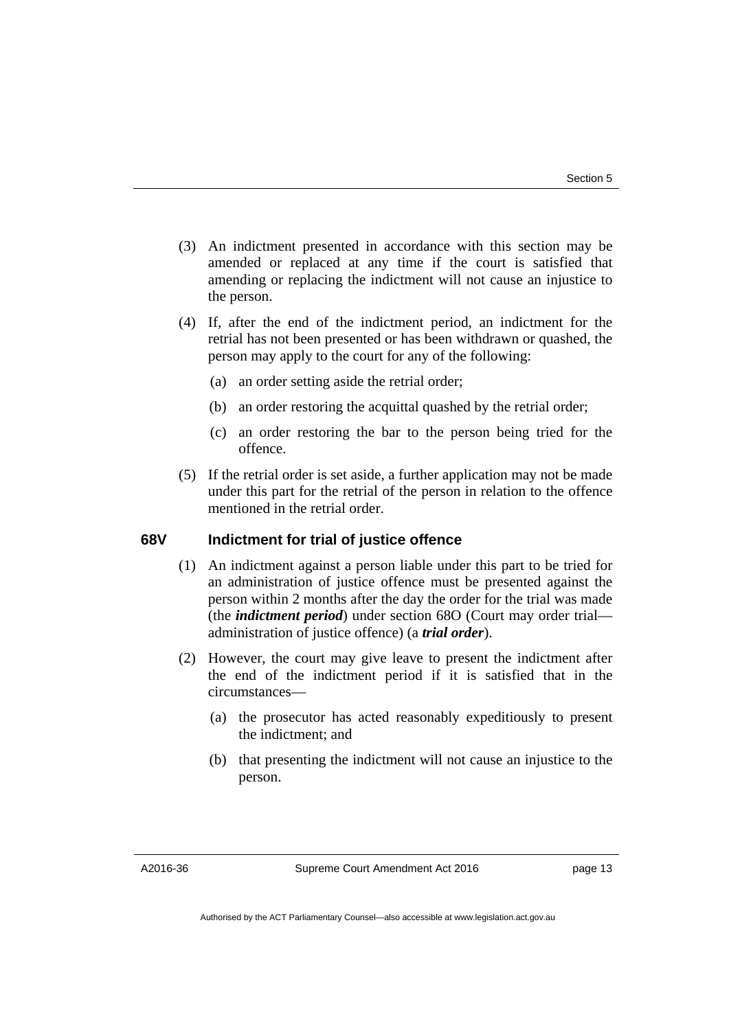- (3) An indictment presented in accordance with this section may be amended or replaced at any time if the court is satisfied that amending or replacing the indictment will not cause an injustice to the person.
- (4) If, after the end of the indictment period, an indictment for the retrial has not been presented or has been withdrawn or quashed, the person may apply to the court for any of the following:
	- (a) an order setting aside the retrial order;
	- (b) an order restoring the acquittal quashed by the retrial order;
	- (c) an order restoring the bar to the person being tried for the offence.
- (5) If the retrial order is set aside, a further application may not be made under this part for the retrial of the person in relation to the offence mentioned in the retrial order.

#### **68V Indictment for trial of justice offence**

- (1) An indictment against a person liable under this part to be tried for an administration of justice offence must be presented against the person within 2 months after the day the order for the trial was made (the *indictment period*) under section 68O (Court may order trial administration of justice offence) (a *trial order*).
- (2) However, the court may give leave to present the indictment after the end of the indictment period if it is satisfied that in the circumstances—
	- (a) the prosecutor has acted reasonably expeditiously to present the indictment; and
	- (b) that presenting the indictment will not cause an injustice to the person.

A2016-36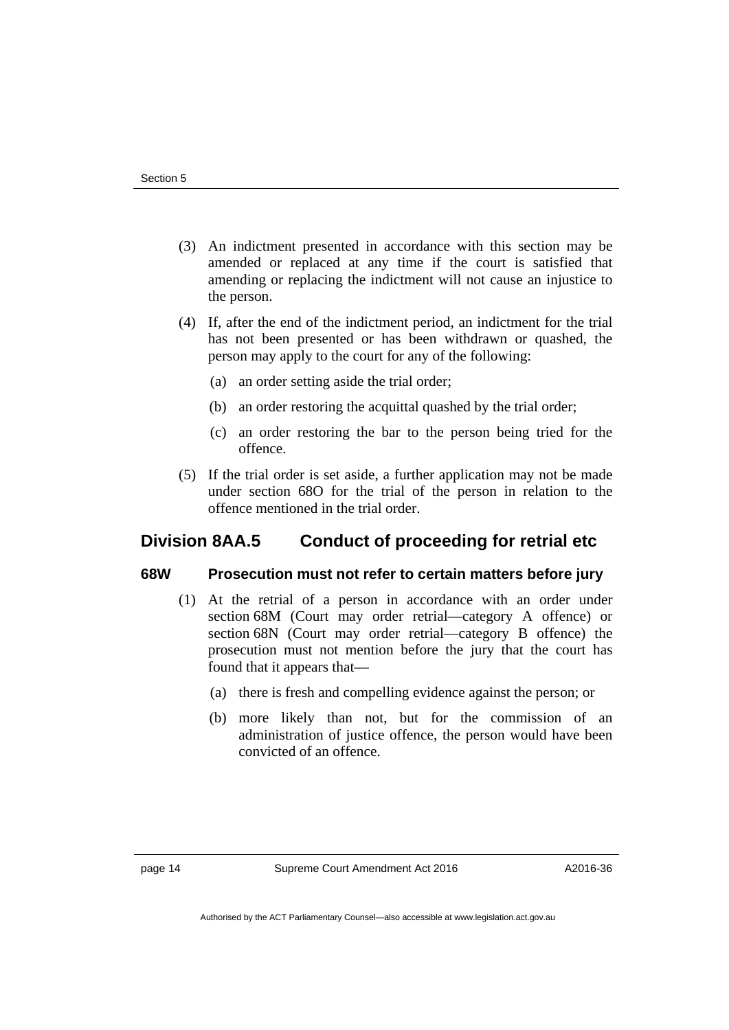- (3) An indictment presented in accordance with this section may be amended or replaced at any time if the court is satisfied that amending or replacing the indictment will not cause an injustice to the person.
- (4) If, after the end of the indictment period, an indictment for the trial has not been presented or has been withdrawn or quashed, the person may apply to the court for any of the following:
	- (a) an order setting aside the trial order;
	- (b) an order restoring the acquittal quashed by the trial order;
	- (c) an order restoring the bar to the person being tried for the offence.
- (5) If the trial order is set aside, a further application may not be made under section 68O for the trial of the person in relation to the offence mentioned in the trial order.

## **Division 8AA.5 Conduct of proceeding for retrial etc**

#### **68W Prosecution must not refer to certain matters before jury**

- (1) At the retrial of a person in accordance with an order under section 68M (Court may order retrial—category A offence) or section 68N (Court may order retrial—category B offence) the prosecution must not mention before the jury that the court has found that it appears that—
	- (a) there is fresh and compelling evidence against the person; or
	- (b) more likely than not, but for the commission of an administration of justice offence, the person would have been convicted of an offence.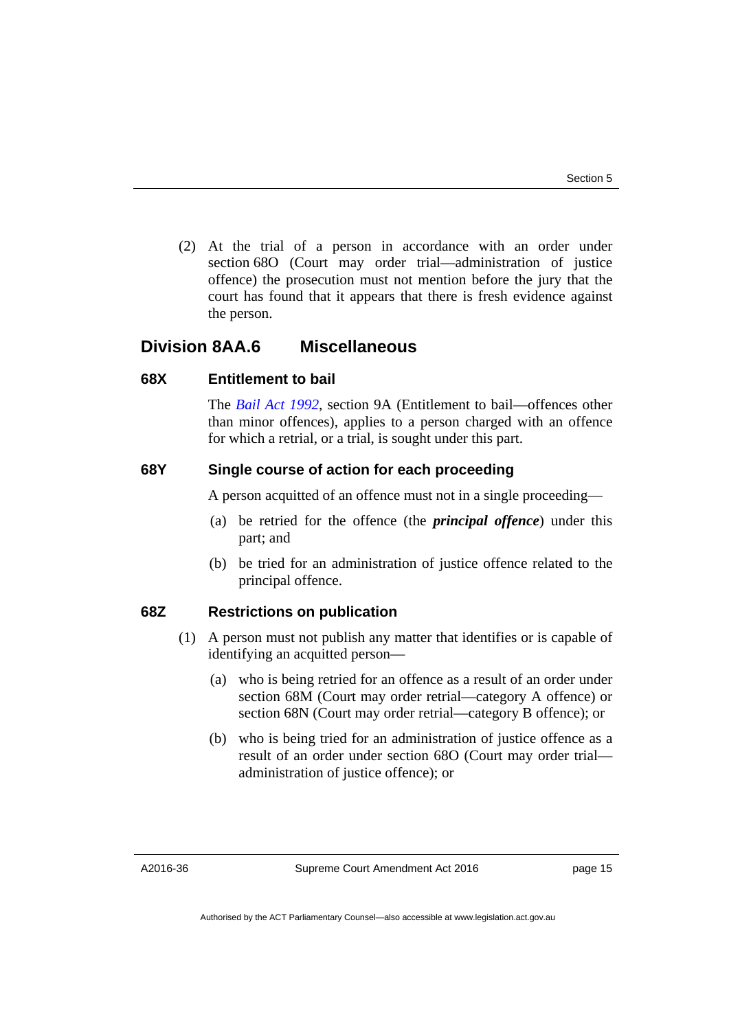(2) At the trial of a person in accordance with an order under section 68O (Court may order trial—administration of justice offence) the prosecution must not mention before the jury that the court has found that it appears that there is fresh evidence against the person.

#### **Division 8AA.6 Miscellaneous**

#### **68X Entitlement to bail**

The *[Bail Act 1992](http://www.legislation.act.gov.au/a/1992-8)*, section 9A (Entitlement to bail—offences other than minor offences), applies to a person charged with an offence for which a retrial, or a trial, is sought under this part.

#### **68Y Single course of action for each proceeding**

A person acquitted of an offence must not in a single proceeding—

- (a) be retried for the offence (the *principal offence*) under this part; and
- (b) be tried for an administration of justice offence related to the principal offence.

#### **68Z Restrictions on publication**

- (1) A person must not publish any matter that identifies or is capable of identifying an acquitted person—
	- (a) who is being retried for an offence as a result of an order under section 68M (Court may order retrial—category A offence) or section 68N (Court may order retrial—category B offence); or
	- (b) who is being tried for an administration of justice offence as a result of an order under section 68O (Court may order trial administration of justice offence); or

A2016-36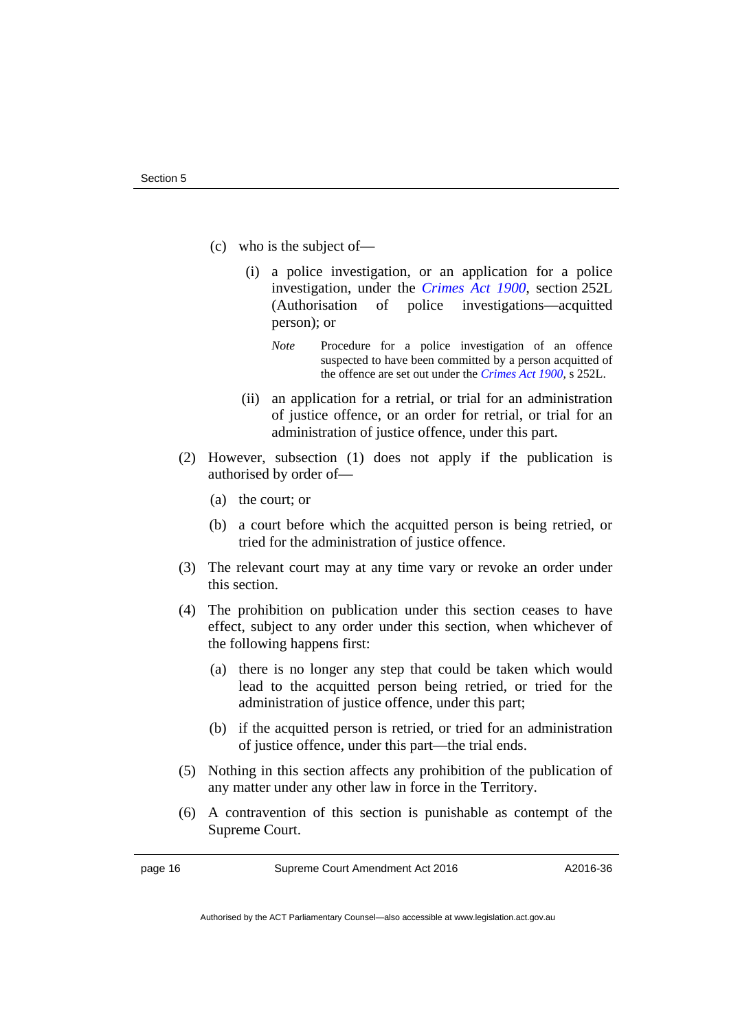- (c) who is the subject of—
	- (i) a police investigation, or an application for a police investigation, under the *[Crimes Act 1900](http://www.legislation.act.gov.au/a/1900-40)*, section 252L (Authorisation of police investigations—acquitted person); or
		- *Note* Procedure for a police investigation of an offence suspected to have been committed by a person acquitted of the offence are set out under the *[Crimes Act 1900](http://www.legislation.act.gov.au/a/1900-40)*, s 252L.
	- (ii) an application for a retrial, or trial for an administration of justice offence, or an order for retrial, or trial for an administration of justice offence, under this part.
- (2) However, subsection (1) does not apply if the publication is authorised by order of—
	- (a) the court; or
	- (b) a court before which the acquitted person is being retried, or tried for the administration of justice offence.
- (3) The relevant court may at any time vary or revoke an order under this section.
- (4) The prohibition on publication under this section ceases to have effect, subject to any order under this section, when whichever of the following happens first:
	- (a) there is no longer any step that could be taken which would lead to the acquitted person being retried, or tried for the administration of justice offence, under this part;
	- (b) if the acquitted person is retried, or tried for an administration of justice offence, under this part—the trial ends.
- (5) Nothing in this section affects any prohibition of the publication of any matter under any other law in force in the Territory.
- (6) A contravention of this section is punishable as contempt of the Supreme Court.

page 16 Supreme Court Amendment Act 2016

Authorised by the ACT Parliamentary Counsel—also accessible at www.legislation.act.gov.au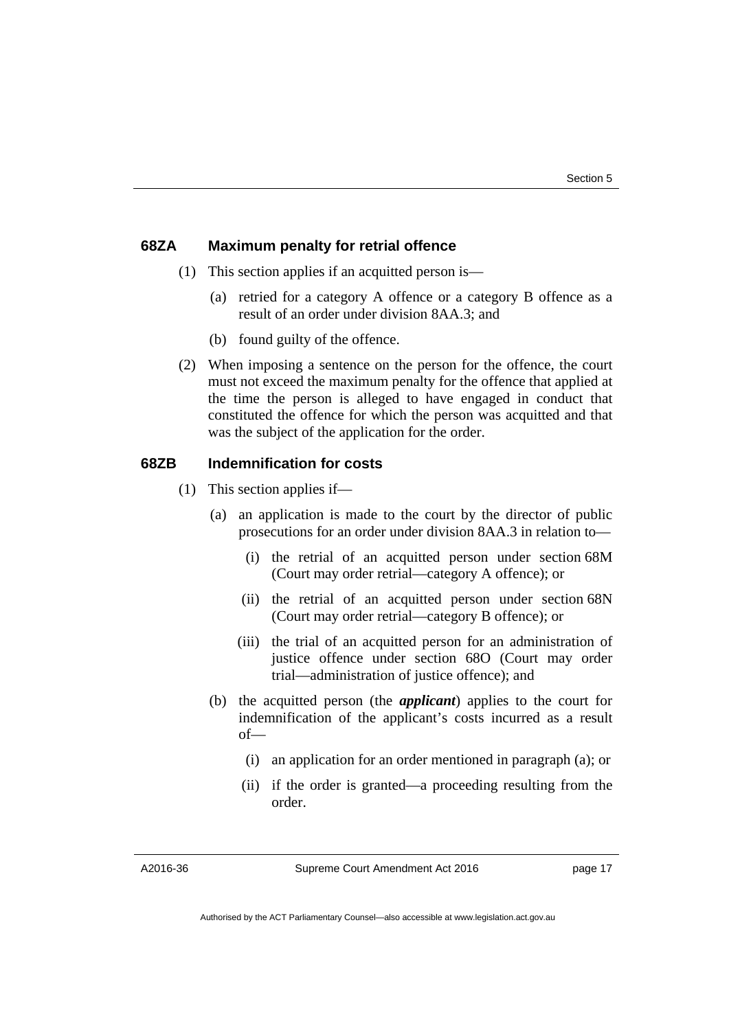#### **68ZA Maximum penalty for retrial offence**

- (1) This section applies if an acquitted person is—
	- (a) retried for a category A offence or a category B offence as a result of an order under division 8AA.3; and
	- (b) found guilty of the offence.
- (2) When imposing a sentence on the person for the offence, the court must not exceed the maximum penalty for the offence that applied at the time the person is alleged to have engaged in conduct that constituted the offence for which the person was acquitted and that was the subject of the application for the order.

#### **68ZB Indemnification for costs**

- (1) This section applies if—
	- (a) an application is made to the court by the director of public prosecutions for an order under division 8AA.3 in relation to—
		- (i) the retrial of an acquitted person under section 68M (Court may order retrial—category A offence); or
		- (ii) the retrial of an acquitted person under section 68N (Court may order retrial—category B offence); or
		- (iii) the trial of an acquitted person for an administration of justice offence under section 68O (Court may order trial—administration of justice offence); and
	- (b) the acquitted person (the *applicant*) applies to the court for indemnification of the applicant's costs incurred as a result of—
		- (i) an application for an order mentioned in paragraph (a); or
		- (ii) if the order is granted—a proceeding resulting from the order.

A2016-36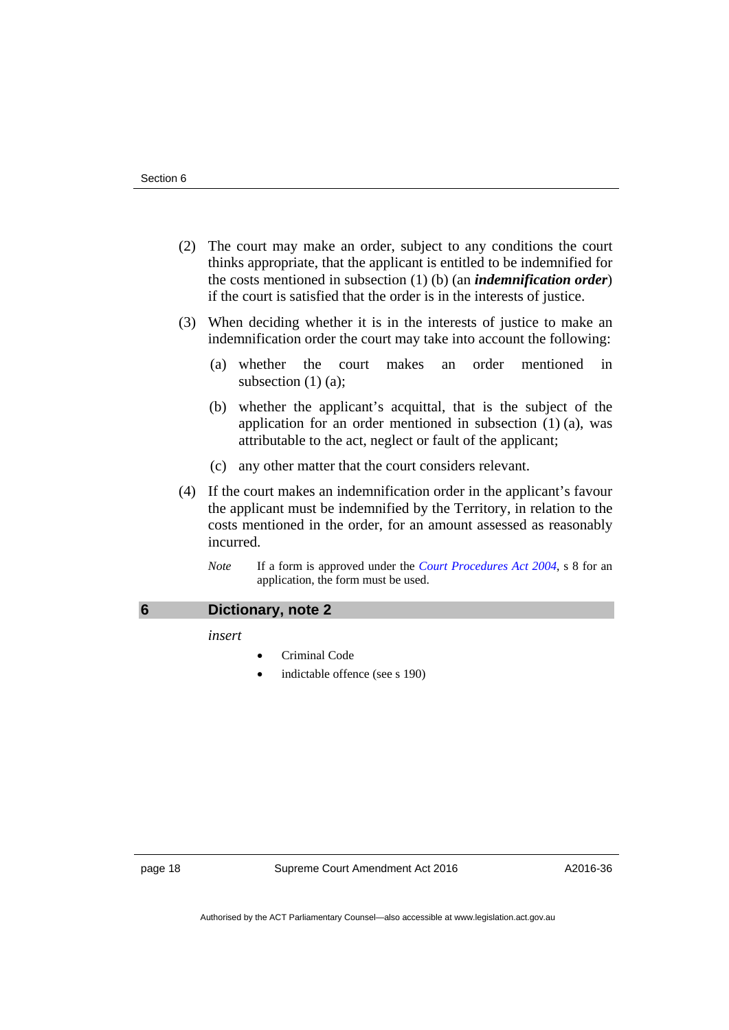- (2) The court may make an order, subject to any conditions the court thinks appropriate, that the applicant is entitled to be indemnified for the costs mentioned in subsection (1) (b) (an *indemnification order*) if the court is satisfied that the order is in the interests of justice.
- (3) When deciding whether it is in the interests of justice to make an indemnification order the court may take into account the following:
	- (a) whether the court makes an order mentioned in subsection (1) (a);
	- (b) whether the applicant's acquittal, that is the subject of the application for an order mentioned in subsection (1) (a), was attributable to the act, neglect or fault of the applicant;
	- (c) any other matter that the court considers relevant.
- (4) If the court makes an indemnification order in the applicant's favour the applicant must be indemnified by the Territory, in relation to the costs mentioned in the order, for an amount assessed as reasonably incurred.
	- *Note* If a form is approved under the *[Court Procedures Act 2004](http://www.legislation.act.gov.au/a/2004-59)*, s 8 for an application, the form must be used.

<span id="page-19-0"></span>

| 6 | Dictionary, note 2 |
|---|--------------------|
|---|--------------------|

*insert* 

- Criminal Code
- indictable offence (see s 190)

page 18 Supreme Court Amendment Act 2016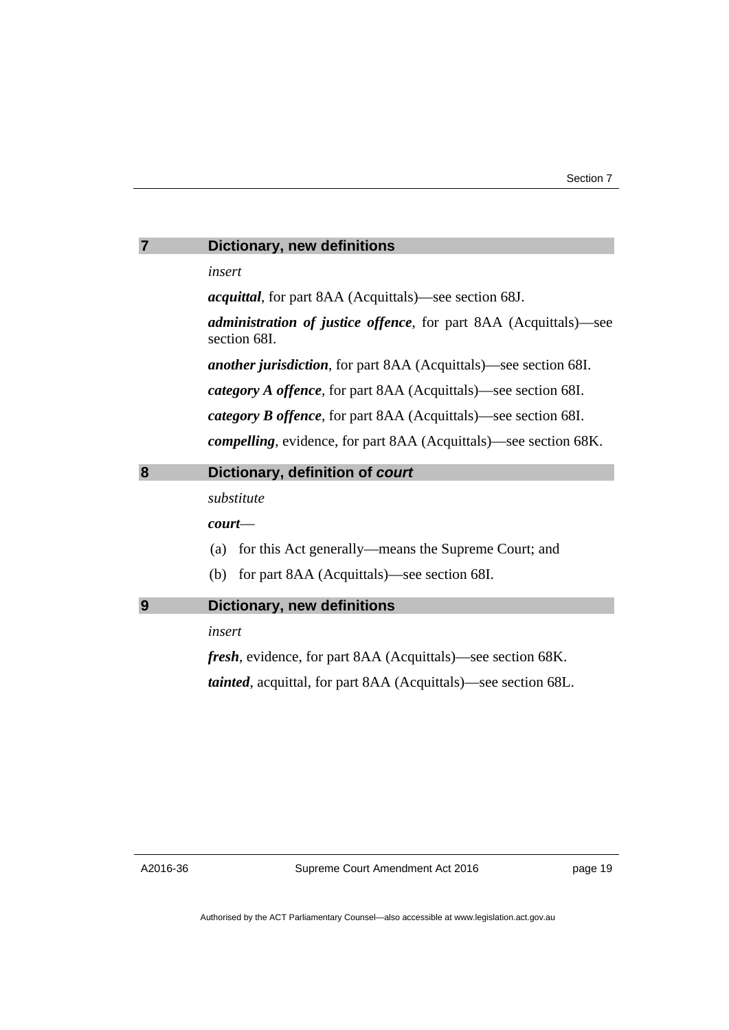<span id="page-20-1"></span><span id="page-20-0"></span>

| 7 | <b>Dictionary, new definitions</b>                                                       |  |  |
|---|------------------------------------------------------------------------------------------|--|--|
|   | insert                                                                                   |  |  |
|   | <i>acquittal</i> , for part 8AA (Acquittals)—see section 68J.                            |  |  |
|   | <i>administration of justice offence</i> , for part 8AA (Acquittals)—see<br>section 68I. |  |  |
|   | <i>another jurisdiction</i> , for part 8AA (Acquittals)—see section 68I.                 |  |  |
|   | category A offence, for part 8AA (Acquittals)—see section 68I.                           |  |  |
|   | <i>category B offence</i> , for part 8AA (Acquittals)—see section 68I.                   |  |  |
|   | <i>compelling</i> , evidence, for part 8AA (Acquittals)—see section 68K.                 |  |  |
| 8 | Dictionary, definition of court                                                          |  |  |
|   | substitute                                                                               |  |  |
|   | $\textit{court}$ —                                                                       |  |  |
|   | for this Act generally—means the Supreme Court; and<br>(a)                               |  |  |
|   | (b) for part 8AA (Acquittals)—see section 68I.                                           |  |  |
| 9 | <b>Dictionary, new definitions</b>                                                       |  |  |
|   | insert                                                                                   |  |  |
|   | <i>fresh</i> , evidence, for part 8AA (Acquittals)—see section 68K.                      |  |  |
|   | <i>tainted</i> , acquittal, for part 8AA (Acquittals)—see section 68L.                   |  |  |

<span id="page-20-2"></span>A2016-36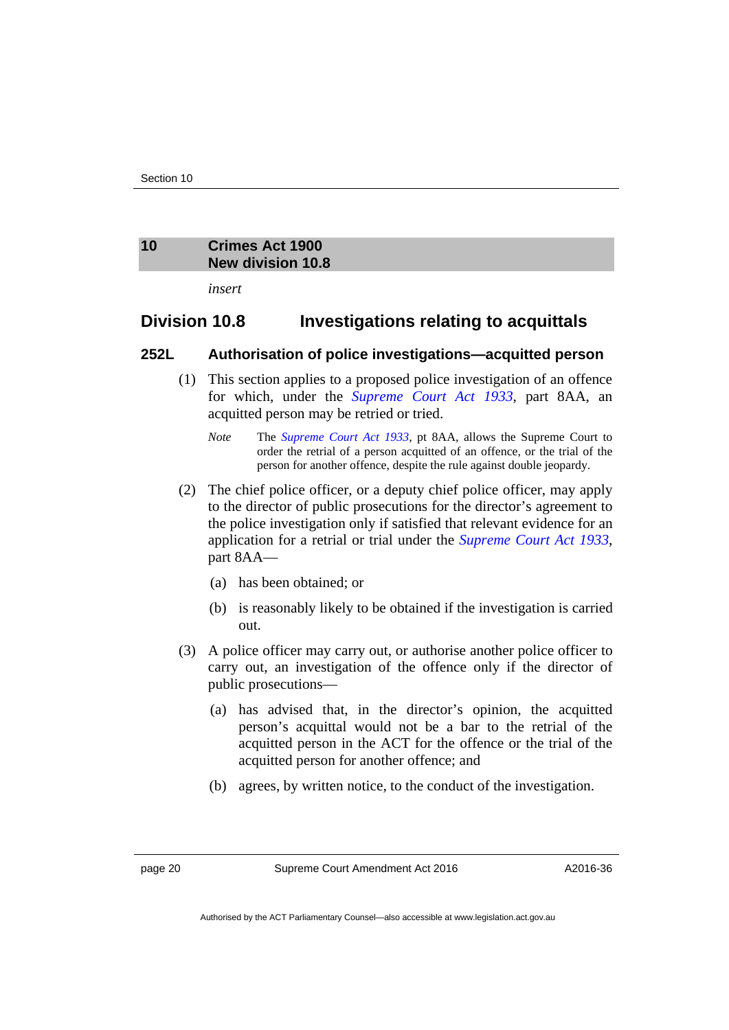#### <span id="page-21-0"></span>**10 Crimes Act 1900 New division 10.8**

*insert* 

#### **Division 10.8 Investigations relating to acquittals**

#### **252L Authorisation of police investigations—acquitted person**

- (1) This section applies to a proposed police investigation of an offence for which, under the *[Supreme Court Act 1933](http://www.legislation.act.gov.au/a/1933-34)*, part 8AA, an acquitted person may be retried or tried.
	- *Note* The *[Supreme Court Act 1933](http://www.legislation.act.gov.au/a/1933-34)*, pt 8AA, allows the Supreme Court to order the retrial of a person acquitted of an offence, or the trial of the person for another offence, despite the rule against double jeopardy.
- (2) The chief police officer, or a deputy chief police officer, may apply to the director of public prosecutions for the director's agreement to the police investigation only if satisfied that relevant evidence for an application for a retrial or trial under the *[Supreme Court Act 1933](http://www.legislation.act.gov.au/a/1933-34)*, part 8AA—
	- (a) has been obtained; or
	- (b) is reasonably likely to be obtained if the investigation is carried out.
- (3) A police officer may carry out, or authorise another police officer to carry out, an investigation of the offence only if the director of public prosecutions—
	- (a) has advised that, in the director's opinion, the acquitted person's acquittal would not be a bar to the retrial of the acquitted person in the ACT for the offence or the trial of the acquitted person for another offence; and
	- (b) agrees, by written notice, to the conduct of the investigation.

page 20 Supreme Court Amendment Act 2016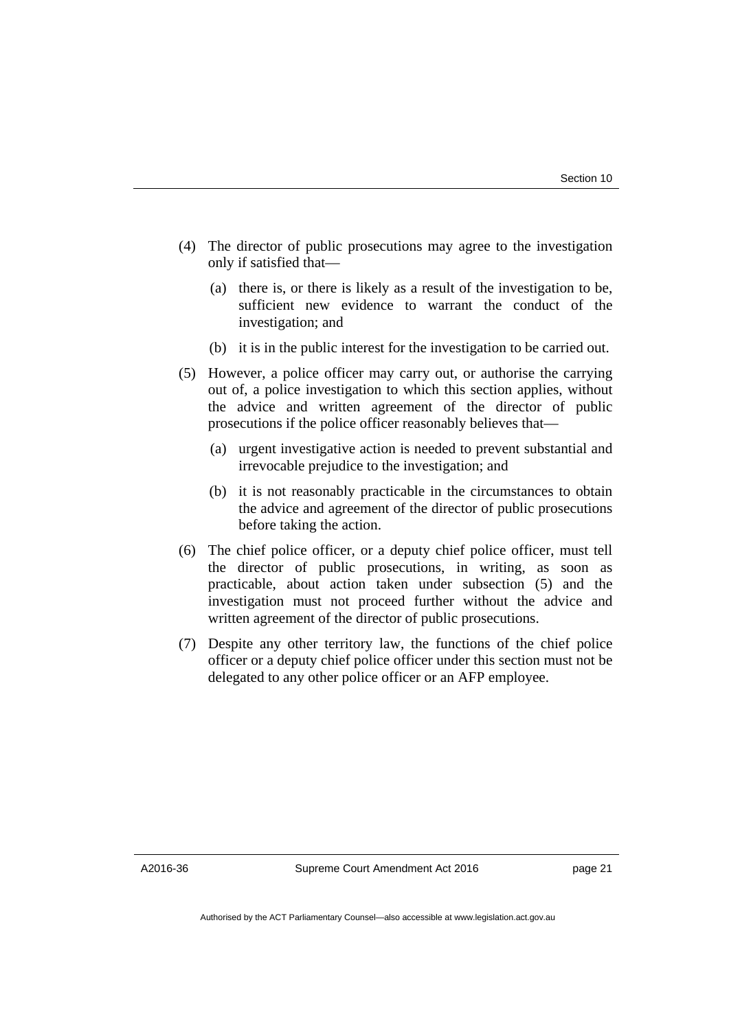- (4) The director of public prosecutions may agree to the investigation only if satisfied that—
	- (a) there is, or there is likely as a result of the investigation to be, sufficient new evidence to warrant the conduct of the investigation; and
	- (b) it is in the public interest for the investigation to be carried out.
- (5) However, a police officer may carry out, or authorise the carrying out of, a police investigation to which this section applies, without the advice and written agreement of the director of public prosecutions if the police officer reasonably believes that—
	- (a) urgent investigative action is needed to prevent substantial and irrevocable prejudice to the investigation; and
	- (b) it is not reasonably practicable in the circumstances to obtain the advice and agreement of the director of public prosecutions before taking the action.
- (6) The chief police officer, or a deputy chief police officer, must tell the director of public prosecutions, in writing, as soon as practicable, about action taken under subsection (5) and the investigation must not proceed further without the advice and written agreement of the director of public prosecutions.
- (7) Despite any other territory law, the functions of the chief police officer or a deputy chief police officer under this section must not be delegated to any other police officer or an AFP employee.

A2016-36

Supreme Court Amendment Act 2016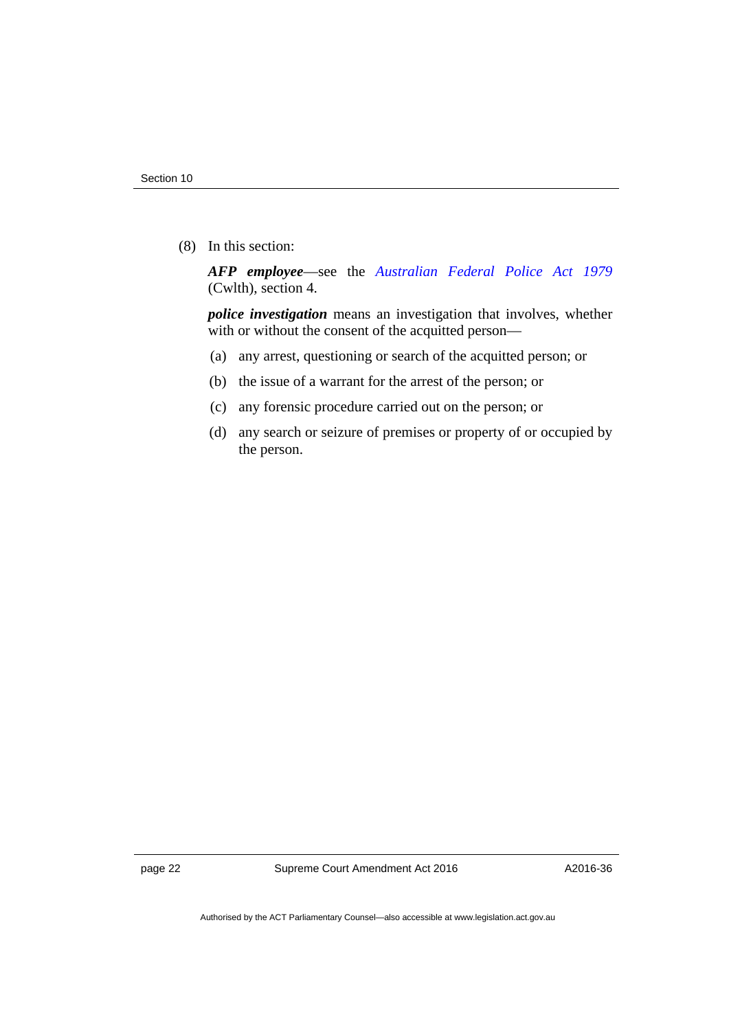(8) In this section:

*AFP employee*—see the *[Australian Federal Police Act 1979](https://www.legislation.gov.au/Series/C2004A02068)* (Cwlth), section 4.

*police investigation* means an investigation that involves, whether with or without the consent of the acquitted person—

- (a) any arrest, questioning or search of the acquitted person; or
- (b) the issue of a warrant for the arrest of the person; or
- (c) any forensic procedure carried out on the person; or
- (d) any search or seizure of premises or property of or occupied by the person.

page 22 Supreme Court Amendment Act 2016